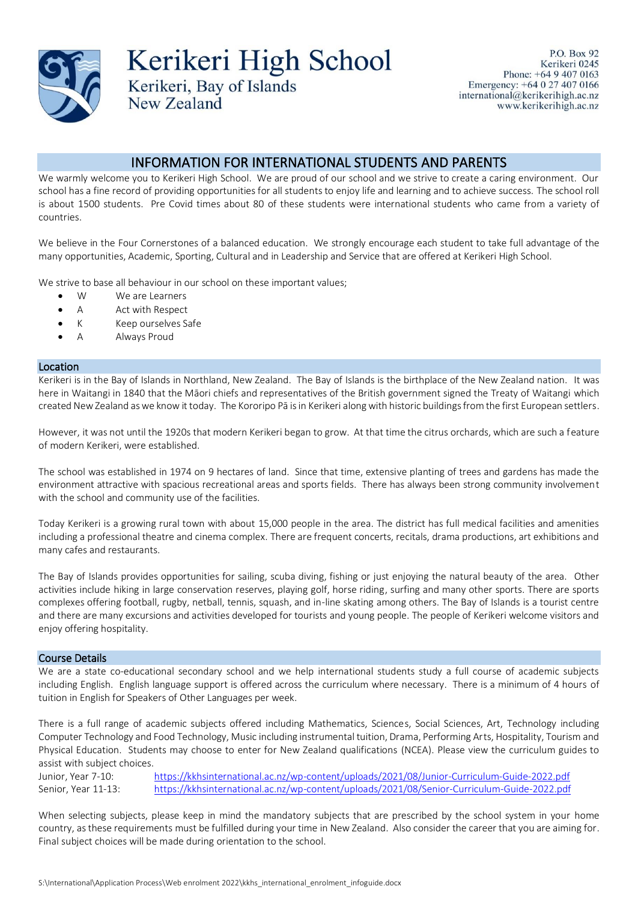

Kerikeri High School Kerikeri, Bay of Islands

P.O. Box 92 Kerikeri 0245 Phone: +64 9 407 0163 Emergency: +64 0 27 407 0166 international@kerikerihigh.ac.nz www.kerikerihigh.ac.nz

# INFORMATION FOR INTERNATIONAL STUDENTS AND PARENTS

We warmly welcome you to Kerikeri High School. We are proud of our school and we strive to create a caring environment. Our school has a fine record of providing opportunities for all students to enjoy life and learning and to achieve success. The school roll is about 1500 students. Pre Covid times about 80 of these students were international students who came from a variety of countries.

We believe in the Four Cornerstones of a balanced education. We strongly encourage each student to take full advantage of the many opportunities, Academic, Sporting, Cultural and in Leadership and Service that are offered at Kerikeri High School.

We strive to base all behaviour in our school on these important values:

New Zealand

- W We are Learners
- A Act with Respect
- K Keep ourselves Safe
- A Always Proud

#### Location

Kerikeri is in the Bay of Islands in Northland, New Zealand. The Bay of Islands is the birthplace of the New Zealand nation. It was here in Waitangi in 1840 that the Māori chiefs and representatives of the British government signed the Treaty of Waitangi which created New Zealand as we know it today. The Kororipo Pā is in Kerikeri along with historic buildings from the first European settlers.

However, it was not until the 1920s that modern Kerikeri began to grow. At that time the citrus orchards, which are such a feature of modern Kerikeri, were established.

The school was established in 1974 on 9 hectares of land. Since that time, extensive planting of trees and gardens has made the environment attractive with spacious recreational areas and sports fields. There has always been strong community involvement with the school and community use of the facilities.

Today Kerikeri is a growing rural town with about 15,000 people in the area. The district has full medical facilities and amenities including a professional theatre and cinema complex. There are frequent concerts, recitals, drama productions, art exhibitions and many cafes and restaurants.

The Bay of Islands provides opportunities for sailing, scuba diving, fishing or just enjoying the natural beauty of the area. Other activities include hiking in large conservation reserves, playing golf, horse riding, surfing and many other sports. There are sports complexes offering football, rugby, netball, tennis, squash, and in-line skating among others. The Bay of Islands is a tourist centre and there are many excursions and activities developed for tourists and young people. The people of Kerikeri welcome visitors and enjoy offering hospitality.

### Course Details

We are a state co-educational secondary school and we help international students study a full course of academic subjects including English. English language support is offered across the curriculum where necessary. There is a minimum of 4 hours of tuition in English for Speakers of Other Languages per week.

There is a full range of academic subjects offered including Mathematics, Sciences, Social Sciences, Art, Technology including Computer Technology and Food Technology, Music including instrumental tuition, Drama, Performing Arts, Hospitality, Tourism and Physical Education. Students may choose to enter for New Zealand qualifications (NCEA). Please view the curriculum guides to assist with subject choices.

Junior, Year 7-10: <https://kkhsinternational.ac.nz/wp-content/uploads/2021/08/Junior-Curriculum-Guide-2022.pdf> Senior, Year 11-13: <https://kkhsinternational.ac.nz/wp-content/uploads/2021/08/Senior-Curriculum-Guide-2022.pdf>

When selecting subjects, please keep in mind the mandatory subjects that are prescribed by the school system in your home country, as these requirements must be fulfilled during your time in New Zealand. Also consider the career that you are aiming for. Final subject choices will be made during orientation to the school.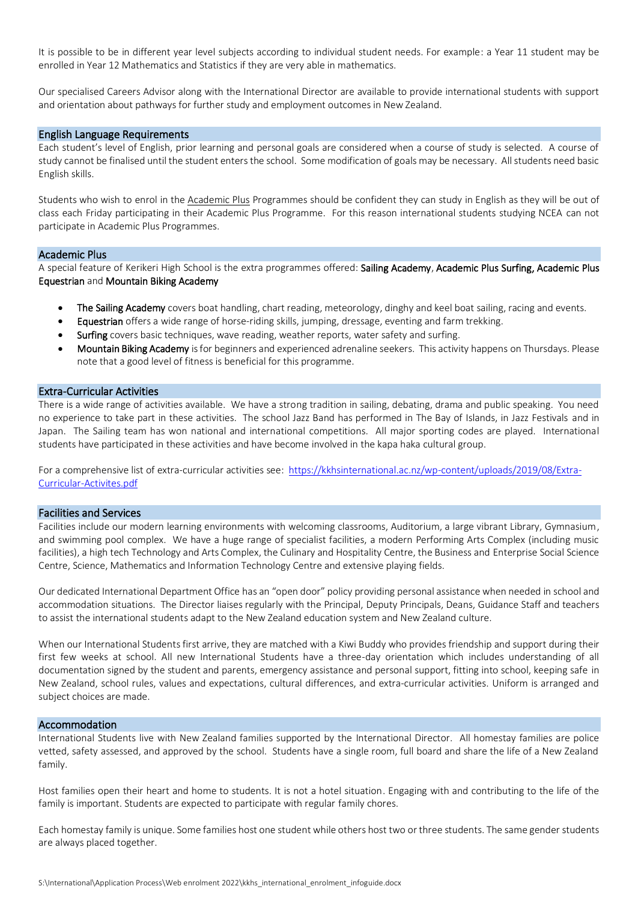It is possible to be in different year level subjects according to individual student needs. For example: a Year 11 student may be enrolled in Year 12 Mathematics and Statistics if they are very able in mathematics.

Our specialised Careers Advisor along with the International Director are available to provide international students with support and orientation about pathways for further study and employment outcomes in New Zealand.

### English Language Requirements

Each student's level of English, prior learning and personal goals are considered when a course of study is selected. A course of study cannot be finalised until the student enters the school. Some modification of goals may be necessary. All students need basic English skills.

Students who wish to enrol in the Academic Plus Programmes should be confident they can study in English as they will be out of class each Friday participating in their Academic Plus Programme. For this reason international students studying NCEA can not participate in Academic Plus Programmes.

#### Academic Plus

A special feature of Kerikeri High School is the extra programmes offered: Sailing Academy, Academic Plus Surfing, Academic Plus Equestrian and Mountain Biking Academy

- The Sailing Academy covers boat handling, chart reading, meteorology, dinghy and keel boat sailing, racing and events.
- Equestrian offers a wide range of horse-riding skills, jumping, dressage, eventing and farm trekking.
- Surfing covers basic techniques, wave reading, weather reports, water safety and surfing.
- Mountain Biking Academy isfor beginners and experienced adrenaline seekers. This activity happens on Thursdays. Please note that a good level of fitness is beneficial for this programme.

### Extra-Curricular Activities

There is a wide range of activities available. We have a strong tradition in sailing, debating, drama and public speaking. You need no experience to take part in these activities. The school Jazz Band has performed in The Bay of Islands, in Jazz Festivals and in Japan. The Sailing team has won national and international competitions. All major sporting codes are played. International students have participated in these activities and have become involved in the kapa haka cultural group.

For a comprehensive list of extra-curricular activities see: [https://kkhsinternational.ac.nz/wp-content/uploads/2019/08/Extra-](https://kkhsinternational.ac.nz/wp-content/uploads/2019/08/Extra-Curricular-Activites.pdf)[Curricular-Activites.pdf](https://kkhsinternational.ac.nz/wp-content/uploads/2019/08/Extra-Curricular-Activites.pdf)

### Facilities and Services

Facilities include our modern learning environments with welcoming classrooms, Auditorium, a large vibrant Library, Gymnasium, and swimming pool complex. We have a huge range of specialist facilities, a modern Performing Arts Complex (including music facilities), a high tech Technology and Arts Complex, the Culinary and Hospitality Centre, the Business and Enterprise Social Science Centre, Science, Mathematics and Information Technology Centre and extensive playing fields.

Our dedicated International Department Office has an "open door" policy providing personal assistance when needed in school and accommodation situations. The Director liaises regularly with the Principal, Deputy Principals, Deans, Guidance Staff and teachers to assist the international students adapt to the New Zealand education system and New Zealand culture.

When our International Students first arrive, they are matched with a Kiwi Buddy who provides friendship and support during their first few weeks at school. All new International Students have a three-day orientation which includes understanding of all documentation signed by the student and parents, emergency assistance and personal support, fitting into school, keeping safe in New Zealand, school rules, values and expectations, cultural differences, and extra-curricular activities. Uniform is arranged and subject choices are made.

### Accommodation

International Students live with New Zealand families supported by the International Director. All homestay families are police vetted, safety assessed, and approved by the school. Students have a single room, full board and share the life of a New Zealand family.

Host families open their heart and home to students. It is not a hotel situation. Engaging with and contributing to the life of the family is important. Students are expected to participate with regular family chores.

Each homestay family is unique. Some families host one student while others host two or three students. The same gender students are always placed together.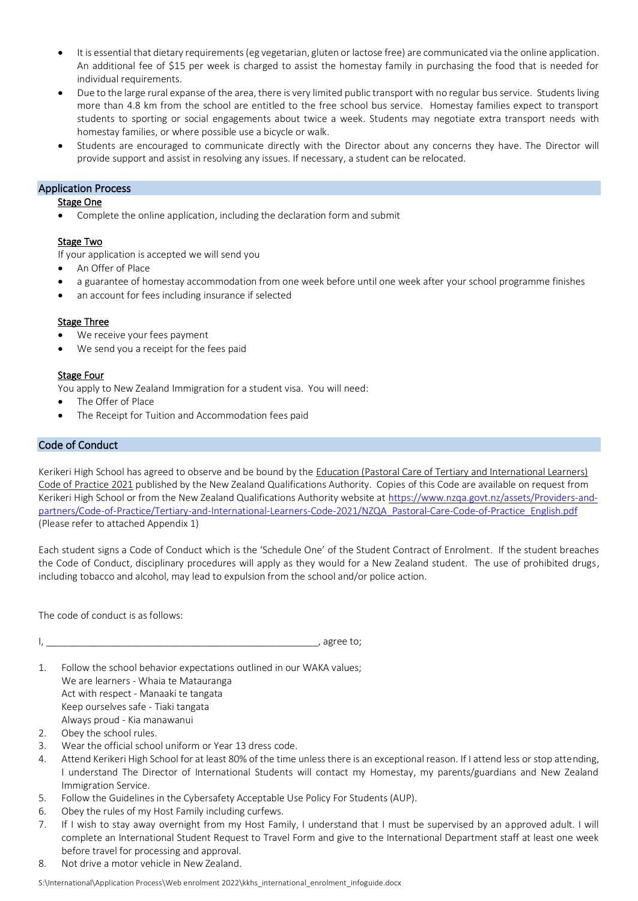- It is essential that dietary requirements (eg vegetarian, gluten or lactose free) are communicated via the online application. An additional fee of \$15 per week is charged to assist the homestay family in purchasing the food that is needed for individual requirements.
- Due to the large rural expanse of the area, there is very limited public transport with no regular bus service. Students living more than 4.8 km from the school are entitled to the free school bus service. Homestay families expect to transport students to sporting or social engagements about twice a week. Students may negotiate extra transport needs with homestay families, or where possible use a bicycle or walk.
- Students are encouraged to communicate directly with the Director about any concerns they have. The Director will provide support and assist in resolving any issues. If necessary, a student can be relocated.

# Application Process

# **Stage One**

• Complete the online application, including the declaration form and submit

# Stage Two

If your application is accepted we will send you

- An Offer of Place
- a guarantee of homestay accommodation from one week before until one week after your school programme finishes
- an account for fees including insurance if selected

# **Stage Three**

- We receive your fees payment
- We send you a receipt for the fees paid

# Stage Four

You apply to New Zealand Immigration for a student visa. You will need:

- The Offer of Place
- The Receipt for Tuition and Accommodation fees paid

# Code of Conduct

Kerikeri High School has agreed to observe and be bound by the Education (Pastoral Care of Tertiary and International Learners) Code of Practice 2021 published by the New Zealand Qualifications Authority. Copies of this Code are available on request from Kerikeri High School or from the New Zealand Qualifications Authority website a[t https://www.nzqa.govt.nz/assets/Providers-and](https://www.nzqa.govt.nz/assets/Providers-and-partners/Code-of-Practice/Tertiary-and-International-Learners-Code-2021/NZQA_Pastoral-Care-Code-of-Practice_English.pdf)[partners/Code-of-Practice/Tertiary-and-International-Learners-Code-2021/NZQA\\_Pastoral-Care-Code-of-Practice\\_English.pdf](https://www.nzqa.govt.nz/assets/Providers-and-partners/Code-of-Practice/Tertiary-and-International-Learners-Code-2021/NZQA_Pastoral-Care-Code-of-Practice_English.pdf) (Please refer to attached Appendix 1)

Each student signs a Code of Conduct which is the 'Schedule One' of the Student Contract of Enrolment. If the student breaches the Code of Conduct, disciplinary procedures will apply as they would for a New Zealand student. The use of prohibited drugs, including tobacco and alcohol, may lead to expulsion from the school and/or police action.

The code of conduct is as follows:

```
I, ___________________________________________________, agree to;
```
- 1. Follow the school behavior expectations outlined in our WAKA values; We are learners - Whaia te Matauranga Act with respect - Manaaki te tangata Keep ourselves safe - Tiaki tangata Always proud - Kia manawanui
- 2. Obey the school rules.
- 3. Wear the official school uniform or Year 13 dress code.
- 4. Attend Kerikeri High School for at least 80% of the time unless there is an exceptional reason. If I attend less or stop attending, I understand The Director of International Students will contact my Homestay, my parents/guardians and New Zealand Immigration Service.
- 5. Follow the Guidelines in the Cybersafety Acceptable Use Policy For Students (AUP).
- 6. Obey the rules of my Host Family including curfews.
- 7. If I wish to stay away overnight from my Host Family, I understand that I must be supervised by an approved adult. I will complete an International Student Request to Travel Form and give to the International Department staff at least one week before travel for processing and approval.
- 8. Not drive a motor vehicle in New Zealand.

S:\International\Application Process\Web enrolment 2022\kkhs\_international\_enrolment\_infoguide.docx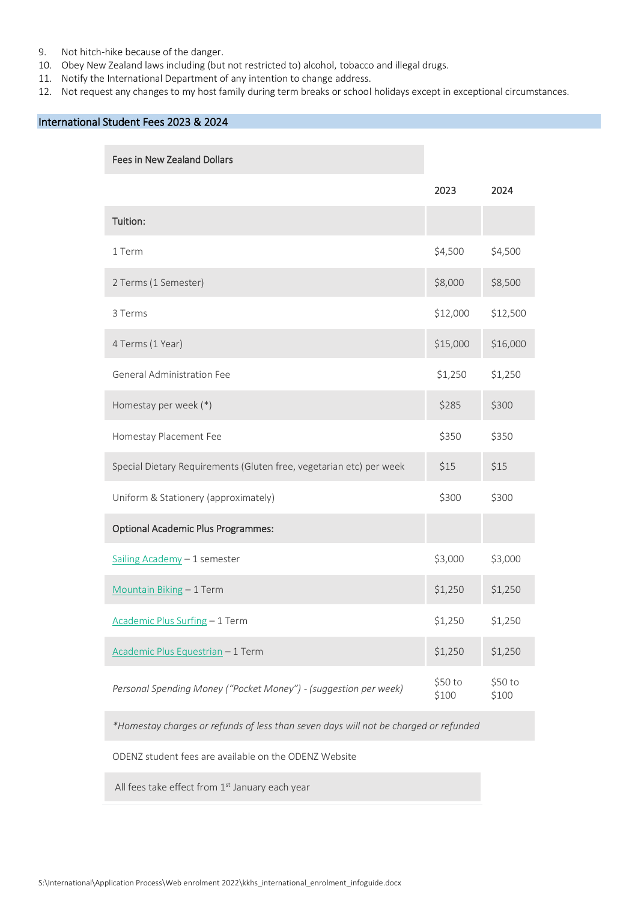- 9. Not hitch-hike because of the danger.
- 10. Obey New Zealand laws including (but not restricted to) alcohol, tobacco and illegal drugs.
- 11. Notify the International Department of any intention to change address.
- 12. Not request any changes to my host family during term breaks or school holidays except in exceptional circumstances.

# International Student Fees 2023 & 2024

### Fees in New Zealand Dollars

|                                                                     | 2023             | 2024             |
|---------------------------------------------------------------------|------------------|------------------|
| Tuition:                                                            |                  |                  |
| 1 Term                                                              | \$4,500          | \$4,500          |
| 2 Terms (1 Semester)                                                | \$8,000          | \$8,500          |
| 3 Terms                                                             | \$12,000         | \$12,500         |
| 4 Terms (1 Year)                                                    | \$15,000         | \$16,000         |
| General Administration Fee                                          | \$1,250          | \$1,250          |
| Homestay per week (*)                                               | \$285            | \$300            |
| Homestay Placement Fee                                              | \$350            | \$350            |
| Special Dietary Requirements (Gluten free, vegetarian etc) per week | \$15             | \$15             |
| Uniform & Stationery (approximately)                                | \$300            | \$300            |
| <b>Optional Academic Plus Programmes:</b>                           |                  |                  |
| Sailing Academy - 1 semester                                        | \$3,000          | \$3,000          |
| Mountain Biking - 1 Term                                            | \$1,250          | \$1,250          |
| Academic Plus Surfing - 1 Term                                      | \$1,250          | \$1,250          |
| Academic Plus Equestrian - 1 Term                                   | \$1,250          | \$1,250          |
| Personal Spending Money ("Pocket Money") - (suggestion per week)    | \$50 to<br>\$100 | \$50 to<br>\$100 |

*\*Homestay charges or refunds of less than seven days will not be charged or refunded*

ODENZ student fees are available on the ODENZ Website

All fees take effect from  $1<sup>st</sup>$  January each year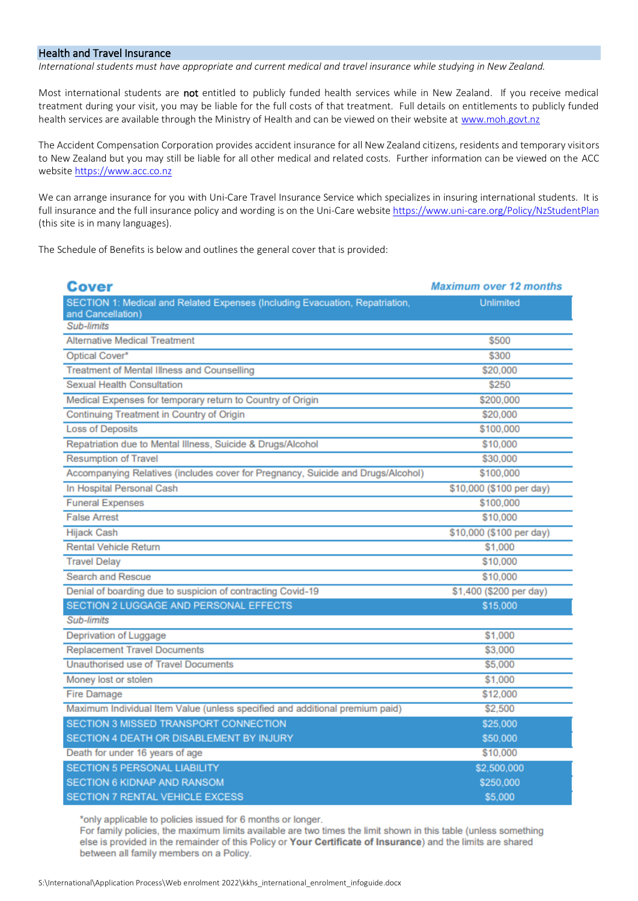# Health and Travel Insurance

*International students must have appropriate and current medical and travel insurance while studying in New Zealand.*

Most international students are not entitled to publicly funded health services while in New Zealand. If you receive medical treatment during your visit, you may be liable for the full costs of that treatment. Full details on entitlements to publicly funded health services are available through the Ministry of Health and can be viewed on their website a[t www.moh.govt.nz](http://www.moh.govt.nz/)

The Accident Compensation Corporation provides accident insurance for all New Zealand citizens, residents and temporary visitors to New Zealand but you may still be liable for all other medical and related costs. Further information can be viewed on the ACC website https://www.acc.co.nz

We can arrange insurance for you with Uni-Care Travel Insurance Service which specializes in insuring international students. It is full insurance and the full insurance policy and wording is on the Uni-Care website<https://www.uni-care.org/Policy/NzStudentPlan> (this site is in many languages).

The Schedule of Benefits is below and outlines the general cover that is provided:

| Cover                                                                                             | <b>Maximum over 12 months</b> |  |
|---------------------------------------------------------------------------------------------------|-------------------------------|--|
| SECTION 1: Medical and Related Expenses (Including Evacuation, Repatriation,<br>and Cancellation) | <b>Unlimited</b>              |  |
| Sub-limits                                                                                        |                               |  |
| <b>Alternative Medical Treatment</b>                                                              | \$500                         |  |
| Optical Cover*                                                                                    | \$300                         |  |
| Treatment of Mental Illness and Counselling                                                       | \$20,000                      |  |
| Sexual Health Consultation                                                                        | \$250                         |  |
| Medical Expenses for temporary return to Country of Origin                                        | \$200,000                     |  |
| Continuing Treatment in Country of Origin                                                         | \$20,000                      |  |
| <b>Loss of Deposits</b>                                                                           | \$100,000                     |  |
| Repatriation due to Mental Illness, Suicide & Drugs/Alcohol                                       | \$10,000                      |  |
| <b>Resumption of Travel</b>                                                                       | \$30,000                      |  |
| Accompanying Relatives (includes cover for Pregnancy, Suicide and Drugs/Alcohol)                  | \$100,000                     |  |
| In Hospital Personal Cash                                                                         | \$10,000 (\$100 per day)      |  |
| <b>Funeral Expenses</b>                                                                           | \$100,000                     |  |
| <b>False Arrest</b>                                                                               | \$10,000                      |  |
| <b>Hijack Cash</b>                                                                                | \$10,000 (\$100 per day)      |  |
| <b>Rental Vehicle Return</b>                                                                      | \$1,000                       |  |
| <b>Travel Delay</b>                                                                               | \$10,000                      |  |
| Search and Rescue                                                                                 | \$10,000                      |  |
| Denial of boarding due to suspicion of contracting Covid-19                                       | \$1,400 (\$200 per day)       |  |
| SECTION 2 LUGGAGE AND PERSONAL EFFECTS                                                            | \$15,000                      |  |
| Sub-limits                                                                                        |                               |  |
| Deprivation of Luggage                                                                            | \$1,000                       |  |
| <b>Replacement Travel Documents</b>                                                               | \$3,000                       |  |
| Unauthorised use of Travel Documents                                                              | \$5,000                       |  |
| Money lost or stolen                                                                              | \$1,000                       |  |
| <b>Fire Damage</b>                                                                                | \$12,000                      |  |
| Maximum Individual Item Value (unless specified and additional premium paid)                      | \$2,500                       |  |
| SECTION 3 MISSED TRANSPORT CONNECTION                                                             | \$25,000                      |  |
| SECTION 4 DEATH OR DISABLEMENT BY INJURY                                                          | \$50,000                      |  |
| Death for under 16 years of age                                                                   | \$10,000                      |  |
| <b>SECTION 5 PERSONAL LIABILITY</b>                                                               | \$2,500,000                   |  |
| <b>SECTION 6 KIDNAP AND RANSOM</b>                                                                | \$250,000                     |  |
| <b>SECTION 7 RENTAL VEHICLE EXCESS</b>                                                            | \$5,000                       |  |

\*only applicable to policies issued for 6 months or longer.

For family policies, the maximum limits available are two times the limit shown in this table (unless something else is provided in the remainder of this Policy or Your Certificate of Insurance) and the limits are shared between all family members on a Policy.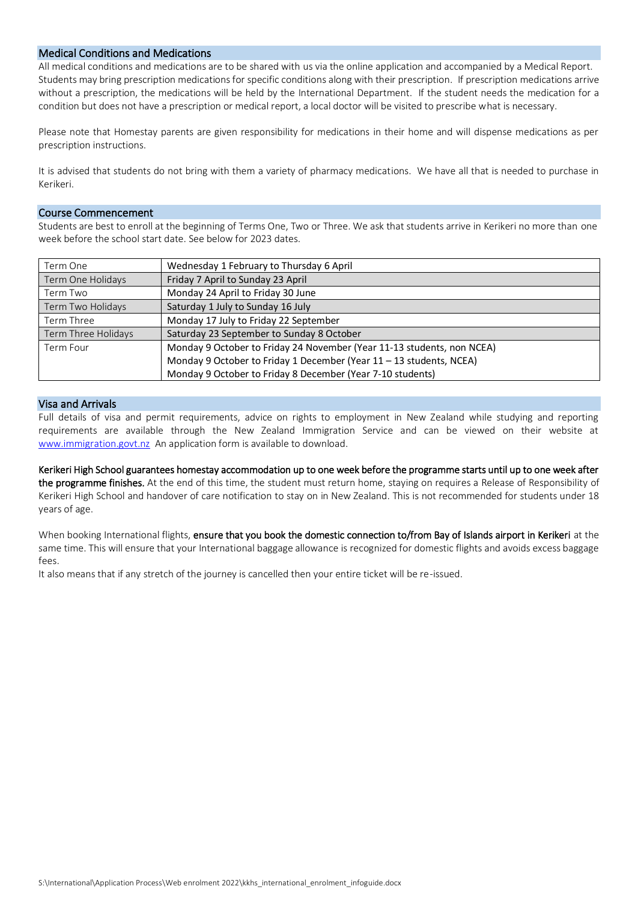# Medical Conditions and Medications

All medical conditions and medications are to be shared with us via the online application and accompanied by a Medical Report. Students may bring prescription medications for specific conditions along with their prescription. If prescription medications arrive without a prescription, the medications will be held by the International Department. If the student needs the medication for a condition but does not have a prescription or medical report, a local doctor will be visited to prescribe what is necessary.

Please note that Homestay parents are given responsibility for medications in their home and will dispense medications as per prescription instructions.

It is advised that students do not bring with them a variety of pharmacy medications. We have all that is needed to purchase in Kerikeri.

### Course Commencement

Students are best to enroll at the beginning of Terms One, Two or Three. We ask that students arrive in Kerikeri no more than one week before the school start date. See below for 2023 dates.

| Term One            | Wednesday 1 February to Thursday 6 April                               |
|---------------------|------------------------------------------------------------------------|
| Term One Holidays   | Friday 7 April to Sunday 23 April                                      |
| Term Two            | Monday 24 April to Friday 30 June                                      |
| Term Two Holidays   | Saturday 1 July to Sunday 16 July                                      |
| Term Three          | Monday 17 July to Friday 22 September                                  |
| Term Three Holidays | Saturday 23 September to Sunday 8 October                              |
| Term Four           | Monday 9 October to Friday 24 November (Year 11-13 students, non NCEA) |
|                     | Monday 9 October to Friday 1 December (Year 11 - 13 students, NCEA)    |
|                     | Monday 9 October to Friday 8 December (Year 7-10 students)             |

# Visa and Arrivals

Full details of visa and permit requirements, advice on rights to employment in New Zealand while studying and reporting requirements are available through the New Zealand Immigration Service and can be viewed on their website at [www.immigration.govt.nz](http://www.immigration.govt.nz/) An application form is available to download.

Kerikeri High School guarantees homestay accommodation up to one week before the programme starts until up to one week after the programme finishes. At the end of this time, the student must return home, staying on requires a Release of Responsibility of Kerikeri High School and handover of care notification to stay on in New Zealand. This is not recommended for students under 18 years of age.

When booking International flights, ensure that you book the domestic connection to/from Bay of Islands airport in Kerikeri at the same time. This will ensure that your International baggage allowance is recognized for domestic flights and avoids excess baggage fees.

It also means that if any stretch of the journey is cancelled then your entire ticket will be re-issued.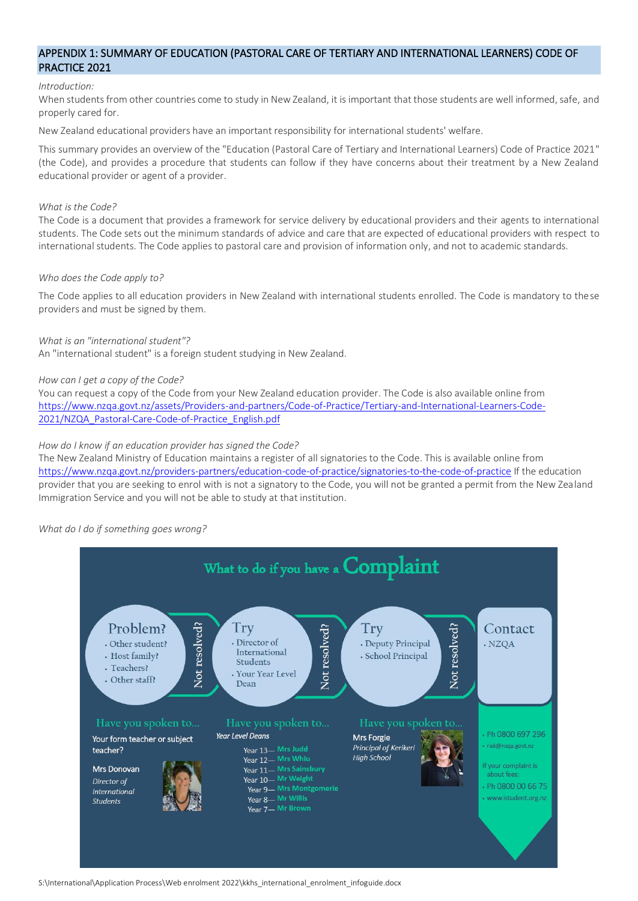# APPENDIX 1: SUMMARY OF EDUCATION (PASTORAL CARE OF TERTIARY AND INTERNATIONAL LEARNERS) CODE OF PRACTICE 2021

### *Introduction:*

When students from other countries come to study in New Zealand, it is important that those students are well informed, safe, and properly cared for.

New Zealand educational providers have an important responsibility for international students' welfare.

This summary provides an overview of the "Education (Pastoral Care of Tertiary and International Learners) Code of Practice 2021" (the Code), and provides a procedure that students can follow if they have concerns about their treatment by a New Zealand educational provider or agent of a provider.

### *What is the Code?*

The Code is a document that provides a framework for service delivery by educational providers and their agents to international students. The Code sets out the minimum standards of advice and care that are expected of educational providers with respect to international students. The Code applies to pastoral care and provision of information only, and not to academic standards.

### *Who does the Code apply to?*

The Code applies to all education providers in New Zealand with international students enrolled. The Code is mandatory to these providers and must be signed by them.

# *What is an "international student"?*

An "international student" is a foreign student studying in New Zealand.

### *How can I get a copy of the Code?*

You can request a copy of the Code from your New Zealand education provider. The Code is also available online from [https://www.nzqa.govt.nz/assets/Providers-and-partners/Code-of-Practice/Tertiary-and-International-Learners-Code-](https://www.nzqa.govt.nz/assets/Providers-and-partners/Code-of-Practice/Tertiary-and-International-Learners-Code-2021/NZQA_Pastoral-Care-Code-of-Practice_English.pdf)[2021/NZQA\\_Pastoral-Care-Code-of-Practice\\_English.pdf](https://www.nzqa.govt.nz/assets/Providers-and-partners/Code-of-Practice/Tertiary-and-International-Learners-Code-2021/NZQA_Pastoral-Care-Code-of-Practice_English.pdf)

### *How do I know if an education provider has signed the Code?*

The New Zealand Ministry of Education maintains a register of all signatories to the Code. This is available online from [https://www.nzqa.govt.nz/providers-partners/education-code-of-practice/signatories-to-the-code-of-practice](https://www.nzqa.govt.nz/providers-partners/education-code-of-practice/signatories-to-the-code-of-practice/) If the education provider that you are seeking to enrol with is not a signatory to the Code, you will not be granted a permit from the New Zealand Immigration Service and you will not be able to study at that institution.

#### *What do I do if something goes wrong?*

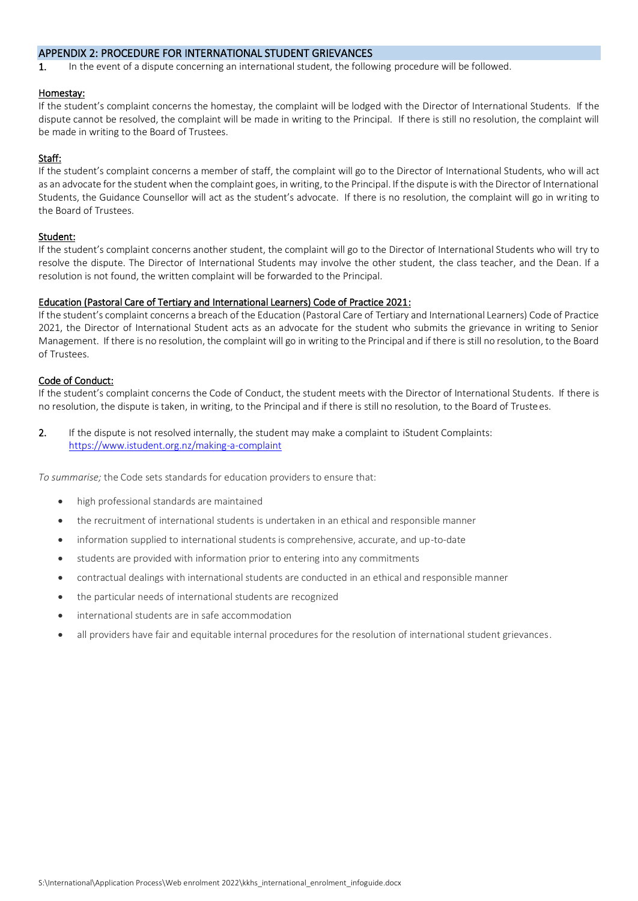# APPENDIX 2: PROCEDURE FOR INTERNATIONAL STUDENT GRIEVANCES

1. In the event of a dispute concerning an international student, the following procedure will be followed.

### Homestay:

If the student's complaint concerns the homestay, the complaint will be lodged with the Director of International Students. If the dispute cannot be resolved, the complaint will be made in writing to the Principal. If there is still no resolution, the complaint will be made in writing to the Board of Trustees.

# Staff:

If the student's complaint concerns a member of staff, the complaint will go to the Director of International Students, who will act as an advocate for the student when the complaint goes, in writing, to the Principal. If the dispute is with the Director of International Students, the Guidance Counsellor will act as the student's advocate. If there is no resolution, the complaint will go in writing to the Board of Trustees.

# Student:

If the student's complaint concerns another student, the complaint will go to the Director of International Students who will try to resolve the dispute. The Director of International Students may involve the other student, the class teacher, and the Dean. If a resolution is not found, the written complaint will be forwarded to the Principal.

# Education (Pastoral Care of Tertiary and International Learners) Code of Practice 2021:

If the student's complaint concerns a breach of the Education (Pastoral Care of Tertiary and International Learners) Code of Practice 2021, the Director of International Student acts as an advocate for the student who submits the grievance in writing to Senior Management. If there is no resolution, the complaint will go in writing to the Principal and if there is still no resolution, to the Board of Trustees.

# Code of Conduct:

If the student's complaint concerns the Code of Conduct, the student meets with the Director of International Students. If there is no resolution, the dispute is taken, in writing, to the Principal and if there is still no resolution, to the Board of Trustees.

2. If the dispute is not resolved internally, the student may make a complaint to iStudent Complaints: <https://www.istudent.org.nz/making-a-complaint>

*To summarise;* the Code sets standards for education providers to ensure that:

- high professional standards are maintained
- the recruitment of international students is undertaken in an ethical and responsible manner
- information supplied to international students is comprehensive, accurate, and up-to-date
- students are provided with information prior to entering into any commitments
- contractual dealings with international students are conducted in an ethical and responsible manner
- the particular needs of international students are recognized
- international students are in safe accommodation
- all providers have fair and equitable internal procedures for the resolution of international student grievances.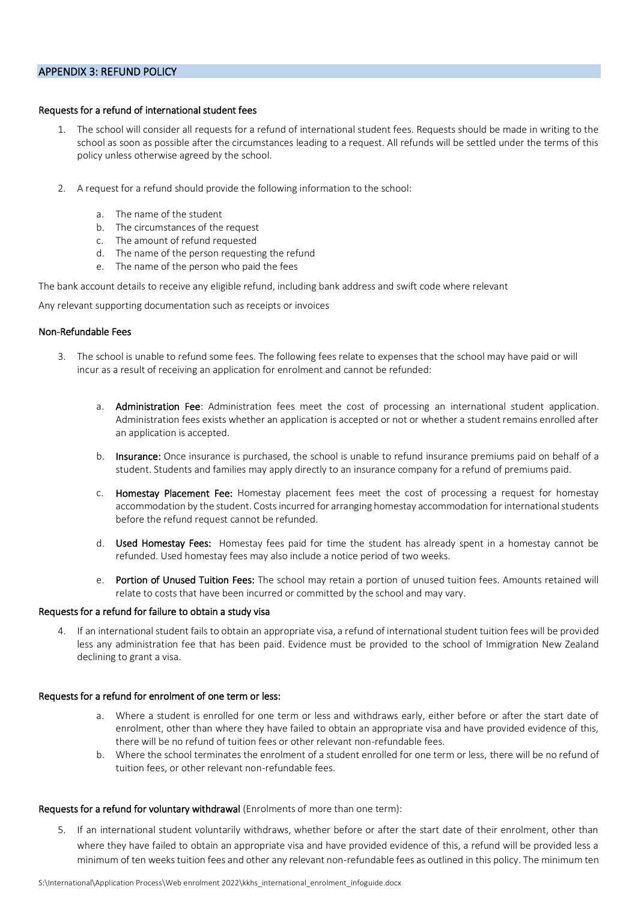# APPENDIX 3: REFUND POLICY

# Requests for a refund of international student fees

- 1. The school will consider all requests for a refund of international student fees. Requests should be made in writing to the school as soon as possible after the circumstances leading to a request. All refunds will be settled under the terms of this policy unless otherwise agreed by the school.
- 2. A request for a refund should provide the following information to the school:
	- a. The name of the student
	- b. The circumstances of the request
	- c. The amount of refund requested
	- d. The name of the person requesting the refund
	- e. The name of the person who paid the fees

The bank account details to receive any eligible refund, including bank address and swift code where relevant

Any relevant supporting documentation such as receipts or invoices

#### Non-Refundable Fees

- 3. The school is unable to refund some fees. The following fees relate to expenses that the school may have paid or will incur as a result of receiving an application for enrolment and cannot be refunded:
	- a. Administration Fee: Administration fees meet the cost of processing an international student application. Administration fees exists whether an application is accepted or not or whether a student remains enrolled after an application is accepted.
	- b. Insurance: Once insurance is purchased, the school is unable to refund insurance premiums paid on behalf of a student. Students and families may apply directly to an insurance company for a refund of premiums paid.
	- c. Homestay Placement Fee: Homestay placement fees meet the cost of processing a request for homestay accommodation by the student. Costs incurred for arranging homestay accommodation for international students before the refund request cannot be refunded.
	- d. Used Homestay Fees: Homestay fees paid for time the student has already spent in a homestay cannot be refunded. Used homestay fees may also include a notice period of two weeks.
	- e. Portion of Unused Tuition Fees: The school may retain a portion of unused tuition fees. Amounts retained will relate to costs that have been incurred or committed by the school and may vary.

#### Requests for a refund for failure to obtain a study visa

4. If an international student fails to obtain an appropriate visa, a refund of international student tuition fees will be provided less any administration fee that has been paid. Evidence must be provided to the school of Immigration New Zealand declining to grant a visa.

### Requests for a refund for enrolment of one term or less:

- a. Where a student is enrolled for one term or less and withdraws early, either before or after the start date of enrolment, other than where they have failed to obtain an appropriate visa and have provided evidence of this, there will be no refund of tuition fees or other relevant non-refundable fees.
- b. Where the school terminates the enrolment of a student enrolled for one term or less, there will be no refund of tuition fees, or other relevant non-refundable fees.

#### Requests for a refund for voluntary withdrawal (Enrolments of more than one term):

5. If an international student voluntarily withdraws, whether before or after the start date of their enrolment, other than where they have failed to obtain an appropriate visa and have provided evidence of this, a refund will be provided less a minimum of ten weeks tuition fees and other any relevant non-refundable fees as outlined in this policy. The minimum ten